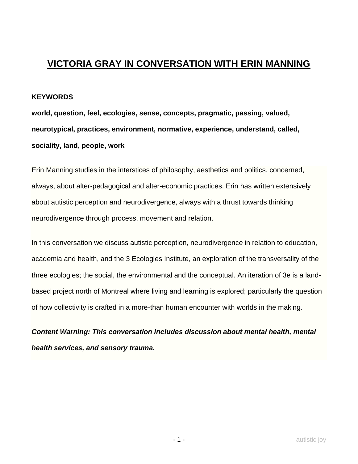## **VICTORIA GRAY IN CONVERSATION WITH ERIN MANNING**

## **KEYWORDS**

**world, question, feel, ecologies, sense, concepts, pragmatic, passing, valued, neurotypical, practices, environment, normative, experience, understand, called, sociality, land, people, work**

Erin Manning studies in the interstices of philosophy, aesthetics and politics, concerned, always, about alter-pedagogical and alter-economic practices. Erin has written extensively about autistic perception and neurodivergence, always with a thrust towards thinking neurodivergence through process, movement and relation.

In this conversation we discuss autistic perception, neurodivergence in relation to education, academia and health, and the 3 Ecologies Institute, an exploration of the transversality of the three ecologies; the social, the environmental and the conceptual. An iteration of 3e is a landbased project north of Montreal where living and learning is explored; particularly the question of how collectivity is crafted in a more-than human encounter with worlds in the making.

*Content Warning: This conversation includes discussion about mental health, mental health services, and sensory trauma.*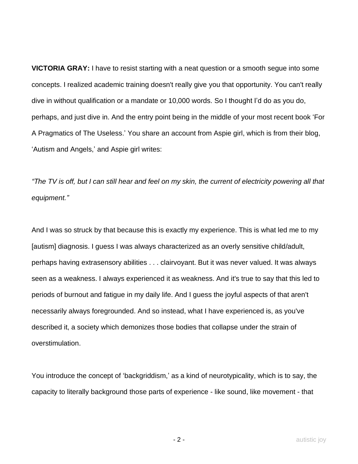**VICTORIA GRAY:** I have to resist starting with a neat question or a smooth segue into some concepts. I realized academic training doesn't really give you that opportunity. You can't really dive in without qualification or a mandate or 10,000 words. So I thought I'd do as you do, perhaps, and just dive in. And the entry point being in the middle of your most recent book 'For A Pragmatics of The Useless.' You share an account from Aspie girl, which is from their blog, 'Autism and Angels,' and Aspie girl writes:

*"The TV is off, but I can still hear and feel on my skin, the current of electricity powering all that equipment."*

And I was so struck by that because this is exactly my experience. This is what led me to my [autism] diagnosis. I guess I was always characterized as an overly sensitive child/adult, perhaps having extrasensory abilities . . . clairvoyant. But it was never valued. It was always seen as a weakness. I always experienced it as weakness. And it's true to say that this led to periods of burnout and fatigue in my daily life. And I guess the joyful aspects of that aren't necessarily always foregrounded. And so instead, what I have experienced is, as you've described it, a society which demonizes those bodies that collapse under the strain of overstimulation.

You introduce the concept of 'backgriddism,' as a kind of neurotypicality, which is to say, the capacity to literally background those parts of experience - like sound, like movement - that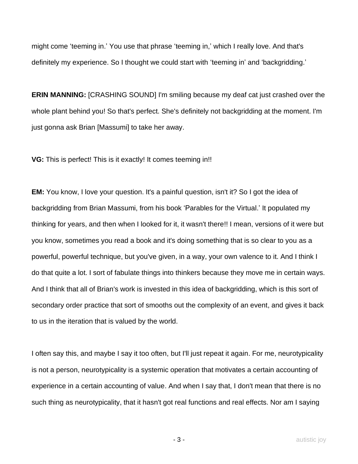might come 'teeming in.' You use that phrase 'teeming in,' which I really love. And that's definitely my experience. So I thought we could start with 'teeming in' and 'backgridding.'

**ERIN MANNING:** [CRASHING SOUND] I'm smiling because my deaf cat just crashed over the whole plant behind you! So that's perfect. She's definitely not backgridding at the moment. I'm just gonna ask Brian [Massumi] to take her away.

**VG:** This is perfect! This is it exactly! It comes teeming in!!

**EM:** You know, I love your question. It's a painful question, isn't it? So I got the idea of backgridding from Brian Massumi, from his book 'Parables for the Virtual.' It populated my thinking for years, and then when I looked for it, it wasn't there!! I mean, versions of it were but you know, sometimes you read a book and it's doing something that is so clear to you as a powerful, powerful technique, but you've given, in a way, your own valence to it. And I think I do that quite a lot. I sort of fabulate things into thinkers because they move me in certain ways. And I think that all of Brian's work is invested in this idea of backgridding, which is this sort of secondary order practice that sort of smooths out the complexity of an event, and gives it back to us in the iteration that is valued by the world.

I often say this, and maybe I say it too often, but I'll just repeat it again. For me, neurotypicality is not a person, neurotypicality is a systemic operation that motivates a certain accounting of experience in a certain accounting of value. And when I say that, I don't mean that there is no such thing as neurotypicality, that it hasn't got real functions and real effects. Nor am I saying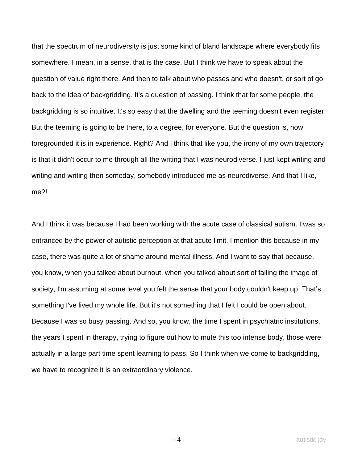that the spectrum of neurodiversity is just some kind of bland landscape where everybody fits somewhere. I mean, in a sense, that is the case. But I think we have to speak about the question of value right there. And then to talk about who passes and who doesn't, or sort of go back to the idea of backgridding. It's a question of passing. I think that for some people, the backgridding is so intuitive. It's so easy that the dwelling and the teeming doesn't even register. But the teeming is going to be there, to a degree, for everyone. But the question is, how foregrounded it is in experience. Right? And I think that like you, the irony of my own trajectory is that it didn't occur to me through all the writing that I was neurodiverse. I just kept writing and writing and writing then someday, somebody introduced me as neurodiverse. And that I like, me?!

And I think it was because I had been working with the acute case of classical autism. I was so entranced by the power of autistic perception at that acute limit. I mention this because in my case, there was quite a lot of shame around mental illness. And I want to say that because, you know, when you talked about burnout, when you talked about sort of failing the image of society, I'm assuming at some level you felt the sense that your body couldn't keep up. That's something I've lived my whole life. But it's not something that I felt I could be open about. Because I was so busy passing. And so, you know, the time I spent in psychiatric institutions, the years I spent in therapy, trying to figure out how to mute this too intense body, those were actually in a large part time spent learning to pass. So I think when we come to backgridding, we have to recognize it is an extraordinary violence.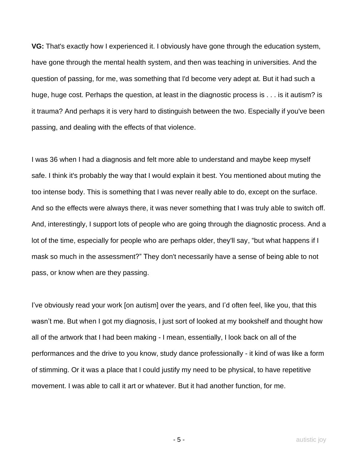**VG:** That's exactly how I experienced it. I obviously have gone through the education system, have gone through the mental health system, and then was teaching in universities. And the question of passing, for me, was something that I'd become very adept at. But it had such a huge, huge cost. Perhaps the question, at least in the diagnostic process is . . . is it autism? is it trauma? And perhaps it is very hard to distinguish between the two. Especially if you've been passing, and dealing with the effects of that violence.

I was 36 when I had a diagnosis and felt more able to understand and maybe keep myself safe. I think it's probably the way that I would explain it best. You mentioned about muting the too intense body. This is something that I was never really able to do, except on the surface. And so the effects were always there, it was never something that I was truly able to switch off. And, interestingly, I support lots of people who are going through the diagnostic process. And a lot of the time, especially for people who are perhaps older, they'll say, "but what happens if I mask so much in the assessment?" They don't necessarily have a sense of being able to not pass, or know when are they passing.

I've obviously read your work [on autism] over the years, and I'd often feel, like you, that this wasn't me. But when I got my diagnosis, I just sort of looked at my bookshelf and thought how all of the artwork that I had been making - I mean, essentially, I look back on all of the performances and the drive to you know, study dance professionally - it kind of was like a form of stimming. Or it was a place that I could justify my need to be physical, to have repetitive movement. I was able to call it art or whatever. But it had another function, for me.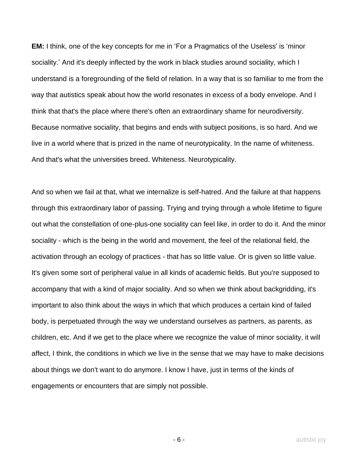**EM:** I think, one of the key concepts for me in 'For a Pragmatics of the Useless' is 'minor sociality.' And it's deeply inflected by the work in black studies around sociality, which I understand is a foregrounding of the field of relation. In a way that is so familiar to me from the way that autistics speak about how the world resonates in excess of a body envelope. And I think that that's the place where there's often an extraordinary shame for neurodiversity. Because normative sociality, that begins and ends with subject positions, is so hard. And we live in a world where that is prized in the name of neurotypicality. In the name of whiteness. And that's what the universities breed. Whiteness. Neurotypicality.

And so when we fail at that, what we internalize is self-hatred. And the failure at that happens through this extraordinary labor of passing. Trying and trying through a whole lifetime to figure out what the constellation of one-plus-one sociality can feel like, in order to do it. And the minor sociality - which is the being in the world and movement, the feel of the relational field, the activation through an ecology of practices - that has so little value. Or is given so little value. It's given some sort of peripheral value in all kinds of academic fields. But you're supposed to accompany that with a kind of major sociality. And so when we think about backgridding, it's important to also think about the ways in which that which produces a certain kind of failed body, is perpetuated through the way we understand ourselves as partners, as parents, as children, etc. And if we get to the place where we recognize the value of minor sociality, it will affect, I think, the conditions in which we live in the sense that we may have to make decisions about things we don't want to do anymore. I know I have, just in terms of the kinds of engagements or encounters that are simply not possible.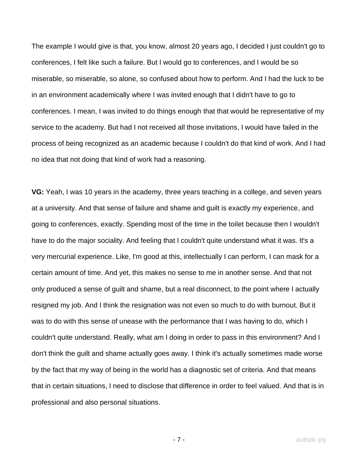The example I would give is that, you know, almost 20 years ago, I decided I just couldn't go to conferences, I felt like such a failure. But I would go to conferences, and I would be so miserable, so miserable, so alone, so confused about how to perform. And I had the luck to be in an environment academically where I was invited enough that I didn't have to go to conferences. I mean, I was invited to do things enough that that would be representative of my service to the academy. But had I not received all those invitations, I would have failed in the process of being recognized as an academic because I couldn't do that kind of work. And I had no idea that not doing that kind of work had a reasoning.

**VG:** Yeah, I was 10 years in the academy, three years teaching in a college, and seven years at a university. And that sense of failure and shame and guilt is exactly my experience, and going to conferences, exactly. Spending most of the time in the toilet because then I wouldn't have to do the major sociality. And feeling that I couldn't quite understand what it was. It's a very mercurial experience. Like, I'm good at this, intellectually I can perform, I can mask for a certain amount of time. And yet, this makes no sense to me in another sense. And that not only produced a sense of guilt and shame, but a real disconnect, to the point where I actually resigned my job. And I think the resignation was not even so much to do with burnout. But it was to do with this sense of unease with the performance that I was having to do, which I couldn't quite understand. Really, what am I doing in order to pass in this environment? And I don't think the guilt and shame actually goes away. I think it's actually sometimes made worse by the fact that my way of being in the world has a diagnostic set of criteria. And that means that in certain situations, I need to disclose that difference in order to feel valued. And that is in professional and also personal situations.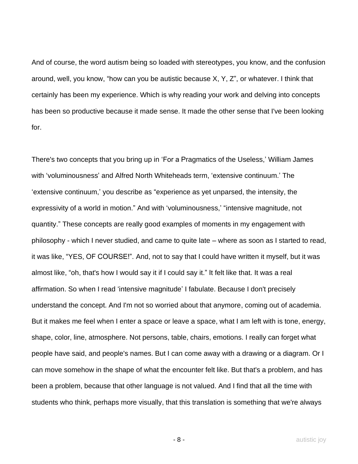And of course, the word autism being so loaded with stereotypes, you know, and the confusion around, well, you know, "how can you be autistic because X, Y, Z", or whatever. I think that certainly has been my experience. Which is why reading your work and delving into concepts has been so productive because it made sense. It made the other sense that I've been looking for.

There's two concepts that you bring up in 'For a Pragmatics of the Useless,' William James with 'voluminousness' and Alfred North Whiteheads term, 'extensive continuum.' The 'extensive continuum,' you describe as "experience as yet unparsed, the intensity, the expressivity of a world in motion." And with 'voluminousness,' "intensive magnitude, not quantity." These concepts are really good examples of moments in my engagement with philosophy - which I never studied, and came to quite late – where as soon as I started to read, it was like, "YES, OF COURSE!". And, not to say that I could have written it myself, but it was almost like, "oh, that's how I would say it if I could say it." It felt like that. It was a real affirmation. So when I read 'intensive magnitude' I fabulate. Because I don't precisely understand the concept. And I'm not so worried about that anymore, coming out of academia. But it makes me feel when I enter a space or leave a space, what I am left with is tone, energy, shape, color, line, atmosphere. Not persons, table, chairs, emotions. I really can forget what people have said, and people's names. But I can come away with a drawing or a diagram. Or I can move somehow in the shape of what the encounter felt like. But that's a problem, and has been a problem, because that other language is not valued. And I find that all the time with students who think, perhaps more visually, that this translation is something that we're always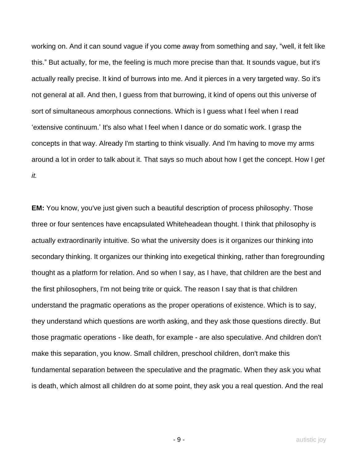working on. And it can sound vague if you come away from something and say, "well, it felt like this." But actually, for me, the feeling is much more precise than that. It sounds vague, but it's actually really precise. It kind of burrows into me. And it pierces in a very targeted way. So it's not general at all. And then, I guess from that burrowing, it kind of opens out this universe of sort of simultaneous amorphous connections. Which is I guess what I feel when I read 'extensive continuum.' It's also what I feel when I dance or do somatic work. I grasp the concepts in that way. Already I'm starting to think visually. And I'm having to move my arms around a lot in order to talk about it. That says so much about how I get the concept. How I *get it.*

**EM:** You know, you've just given such a beautiful description of process philosophy. Those three or four sentences have encapsulated Whiteheadean thought. I think that philosophy is actually extraordinarily intuitive. So what the university does is it organizes our thinking into secondary thinking. It organizes our thinking into exegetical thinking, rather than foregrounding thought as a platform for relation. And so when I say, as I have, that children are the best and the first philosophers, I'm not being trite or quick. The reason I say that is that children understand the pragmatic operations as the proper operations of existence. Which is to say, they understand which questions are worth asking, and they ask those questions directly. But those pragmatic operations - like death, for example - are also speculative. And children don't make this separation, you know. Small children, preschool children, don't make this fundamental separation between the speculative and the pragmatic. When they ask you what is death, which almost all children do at some point, they ask you a real question. And the real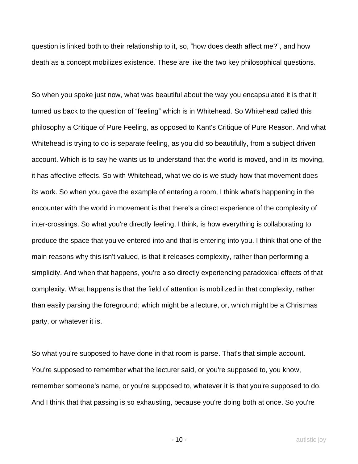question is linked both to their relationship to it, so, "how does death affect me?", and how death as a concept mobilizes existence. These are like the two key philosophical questions.

So when you spoke just now, what was beautiful about the way you encapsulated it is that it turned us back to the question of "feeling" which is in Whitehead. So Whitehead called this philosophy a Critique of Pure Feeling, as opposed to Kant's Critique of Pure Reason. And what Whitehead is trying to do is separate feeling, as you did so beautifully, from a subject driven account. Which is to say he wants us to understand that the world is moved, and in its moving, it has affective effects. So with Whitehead, what we do is we study how that movement does its work. So when you gave the example of entering a room, I think what's happening in the encounter with the world in movement is that there's a direct experience of the complexity of inter-crossings. So what you're directly feeling, I think, is how everything is collaborating to produce the space that you've entered into and that is entering into you. I think that one of the main reasons why this isn't valued, is that it releases complexity, rather than performing a simplicity. And when that happens, you're also directly experiencing paradoxical effects of that complexity. What happens is that the field of attention is mobilized in that complexity, rather than easily parsing the foreground; which might be a lecture, or, which might be a Christmas party, or whatever it is.

So what you're supposed to have done in that room is parse. That's that simple account. You're supposed to remember what the lecturer said, or you're supposed to, you know, remember someone's name, or you're supposed to, whatever it is that you're supposed to do. And I think that that passing is so exhausting, because you're doing both at once. So you're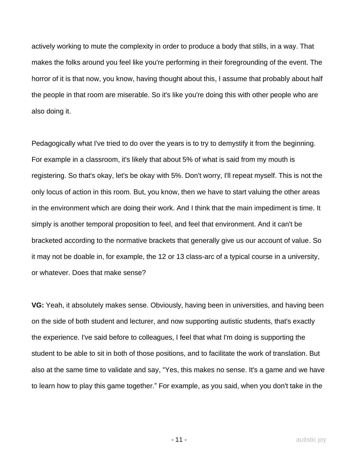actively working to mute the complexity in order to produce a body that stills, in a way. That makes the folks around you feel like you're performing in their foregrounding of the event. The horror of it is that now, you know, having thought about this, I assume that probably about half the people in that room are miserable. So it's like you're doing this with other people who are also doing it.

Pedagogically what I've tried to do over the years is to try to demystify it from the beginning. For example in a classroom, it's likely that about 5% of what is said from my mouth is registering. So that's okay, let's be okay with 5%. Don't worry, I'll repeat myself. This is not the only locus of action in this room. But, you know, then we have to start valuing the other areas in the environment which are doing their work. And I think that the main impediment is time. It simply is another temporal proposition to feel, and feel that environment. And it can't be bracketed according to the normative brackets that generally give us our account of value. So it may not be doable in, for example, the 12 or 13 class-arc of a typical course in a university, or whatever. Does that make sense?

**VG:** Yeah, it absolutely makes sense. Obviously, having been in universities, and having been on the side of both student and lecturer, and now supporting autistic students, that's exactly the experience. I've said before to colleagues, I feel that what I'm doing is supporting the student to be able to sit in both of those positions, and to facilitate the work of translation. But also at the same time to validate and say, "Yes, this makes no sense. It's a game and we have to learn how to play this game together." For example, as you said, when you don't take in the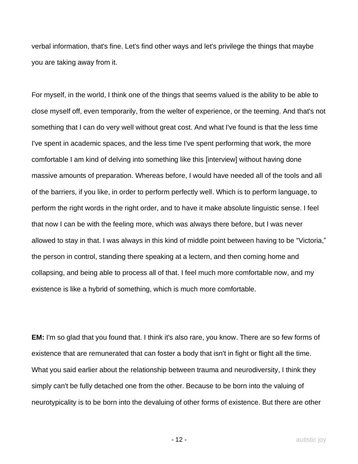verbal information, that's fine. Let's find other ways and let's privilege the things that maybe you are taking away from it.

For myself, in the world, I think one of the things that seems valued is the ability to be able to close myself off, even temporarily, from the welter of experience, or the teeming. And that's not something that I can do very well without great cost. And what I've found is that the less time I've spent in academic spaces, and the less time I've spent performing that work, the more comfortable I am kind of delving into something like this [interview] without having done massive amounts of preparation. Whereas before, I would have needed all of the tools and all of the barriers, if you like, in order to perform perfectly well. Which is to perform language, to perform the right words in the right order, and to have it make absolute linguistic sense. I feel that now I can be with the feeling more, which was always there before, but I was never allowed to stay in that. I was always in this kind of middle point between having to be "Victoria," the person in control, standing there speaking at a lectern, and then coming home and collapsing, and being able to process all of that. I feel much more comfortable now, and my existence is like a hybrid of something, which is much more comfortable.

**EM:** I'm so glad that you found that. I think it's also rare, you know. There are so few forms of existence that are remunerated that can foster a body that isn't in fight or flight all the time. What you said earlier about the relationship between trauma and neurodiversity, I think they simply can't be fully detached one from the other. Because to be born into the valuing of neurotypicality is to be born into the devaluing of other forms of existence. But there are other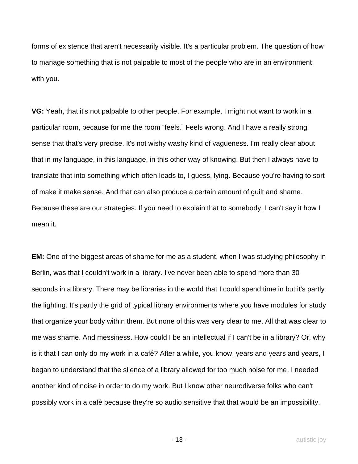forms of existence that aren't necessarily visible. It's a particular problem. The question of how to manage something that is not palpable to most of the people who are in an environment with you.

**VG:** Yeah, that it's not palpable to other people. For example, I might not want to work in a particular room, because for me the room "feels." Feels wrong. And I have a really strong sense that that's very precise. It's not wishy washy kind of vagueness. I'm really clear about that in my language, in this language, in this other way of knowing. But then I always have to translate that into something which often leads to, I guess, lying. Because you're having to sort of make it make sense. And that can also produce a certain amount of guilt and shame. Because these are our strategies. If you need to explain that to somebody, I can't say it how I mean it.

**EM:** One of the biggest areas of shame for me as a student, when I was studying philosophy in Berlin, was that I couldn't work in a library. I've never been able to spend more than 30 seconds in a library. There may be libraries in the world that I could spend time in but it's partly the lighting. It's partly the grid of typical library environments where you have modules for study that organize your body within them. But none of this was very clear to me. All that was clear to me was shame. And messiness. How could I be an intellectual if I can't be in a library? Or, why is it that I can only do my work in a café? After a while, you know, years and years and years, I began to understand that the silence of a library allowed for too much noise for me. I needed another kind of noise in order to do my work. But I know other neurodiverse folks who can't possibly work in a café because they're so audio sensitive that that would be an impossibility.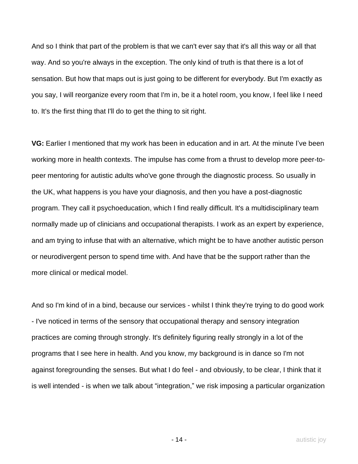And so I think that part of the problem is that we can't ever say that it's all this way or all that way. And so you're always in the exception. The only kind of truth is that there is a lot of sensation. But how that maps out is just going to be different for everybody. But I'm exactly as you say, I will reorganize every room that I'm in, be it a hotel room, you know, I feel like I need to. It's the first thing that I'll do to get the thing to sit right.

**VG:** Earlier I mentioned that my work has been in education and in art. At the minute I've been working more in health contexts. The impulse has come from a thrust to develop more peer-topeer mentoring for autistic adults who've gone through the diagnostic process. So usually in the UK, what happens is you have your diagnosis, and then you have a post-diagnostic program. They call it psychoeducation, which I find really difficult. It's a multidisciplinary team normally made up of clinicians and occupational therapists. I work as an expert by experience, and am trying to infuse that with an alternative, which might be to have another autistic person or neurodivergent person to spend time with. And have that be the support rather than the more clinical or medical model.

And so I'm kind of in a bind, because our services - whilst I think they're trying to do good work - I've noticed in terms of the sensory that occupational therapy and sensory integration practices are coming through strongly. It's definitely figuring really strongly in a lot of the programs that I see here in health. And you know, my background is in dance so I'm not against foregrounding the senses. But what I do feel - and obviously, to be clear, I think that it is well intended - is when we talk about "integration," we risk imposing a particular organization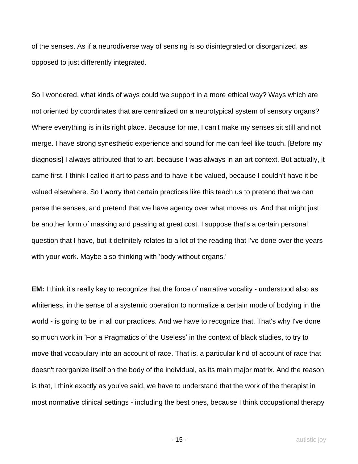of the senses. As if a neurodiverse way of sensing is so disintegrated or disorganized, as opposed to just differently integrated.

So I wondered, what kinds of ways could we support in a more ethical way? Ways which are not oriented by coordinates that are centralized on a neurotypical system of sensory organs? Where everything is in its right place. Because for me, I can't make my senses sit still and not merge. I have strong synesthetic experience and sound for me can feel like touch. [Before my diagnosis] I always attributed that to art, because I was always in an art context. But actually, it came first. I think I called it art to pass and to have it be valued, because I couldn't have it be valued elsewhere. So I worry that certain practices like this teach us to pretend that we can parse the senses, and pretend that we have agency over what moves us. And that might just be another form of masking and passing at great cost. I suppose that's a certain personal question that I have, but it definitely relates to a lot of the reading that I've done over the years with your work. Maybe also thinking with 'body without organs.'

**EM:** I think it's really key to recognize that the force of narrative vocality - understood also as whiteness, in the sense of a systemic operation to normalize a certain mode of bodying in the world - is going to be in all our practices. And we have to recognize that. That's why I've done so much work in 'For a Pragmatics of the Useless' in the context of black studies, to try to move that vocabulary into an account of race. That is, a particular kind of account of race that doesn't reorganize itself on the body of the individual, as its main major matrix. And the reason is that, I think exactly as you've said, we have to understand that the work of the therapist in most normative clinical settings - including the best ones, because I think occupational therapy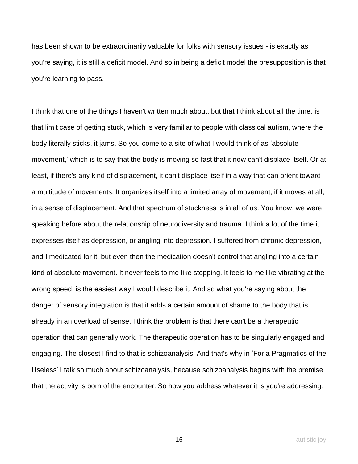has been shown to be extraordinarily valuable for folks with sensory issues - is exactly as you're saying, it is still a deficit model. And so in being a deficit model the presupposition is that you're learning to pass.

I think that one of the things I haven't written much about, but that I think about all the time, is that limit case of getting stuck, which is very familiar to people with classical autism, where the body literally sticks, it jams. So you come to a site of what I would think of as 'absolute movement,' which is to say that the body is moving so fast that it now can't displace itself. Or at least, if there's any kind of displacement, it can't displace itself in a way that can orient toward a multitude of movements. It organizes itself into a limited array of movement, if it moves at all, in a sense of displacement. And that spectrum of stuckness is in all of us. You know, we were speaking before about the relationship of neurodiversity and trauma. I think a lot of the time it expresses itself as depression, or angling into depression. I suffered from chronic depression, and I medicated for it, but even then the medication doesn't control that angling into a certain kind of absolute movement. It never feels to me like stopping. It feels to me like vibrating at the wrong speed, is the easiest way I would describe it. And so what you're saying about the danger of sensory integration is that it adds a certain amount of shame to the body that is already in an overload of sense. I think the problem is that there can't be a therapeutic operation that can generally work. The therapeutic operation has to be singularly engaged and engaging. The closest I find to that is schizoanalysis. And that's why in 'For a Pragmatics of the Useless' I talk so much about schizoanalysis, because schizoanalysis begins with the premise that the activity is born of the encounter. So how you address whatever it is you're addressing,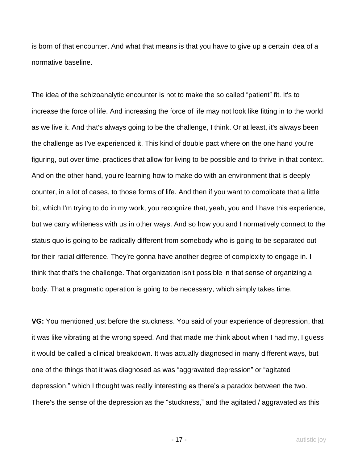is born of that encounter. And what that means is that you have to give up a certain idea of a normative baseline.

The idea of the schizoanalytic encounter is not to make the so called "patient" fit. It's to increase the force of life. And increasing the force of life may not look like fitting in to the world as we live it. And that's always going to be the challenge, I think. Or at least, it's always been the challenge as I've experienced it. This kind of double pact where on the one hand you're figuring, out over time, practices that allow for living to be possible and to thrive in that context. And on the other hand, you're learning how to make do with an environment that is deeply counter, in a lot of cases, to those forms of life. And then if you want to complicate that a little bit, which I'm trying to do in my work, you recognize that, yeah, you and I have this experience, but we carry whiteness with us in other ways. And so how you and I normatively connect to the status quo is going to be radically different from somebody who is going to be separated out for their racial difference. They're gonna have another degree of complexity to engage in. I think that that's the challenge. That organization isn't possible in that sense of organizing a body. That a pragmatic operation is going to be necessary, which simply takes time.

**VG:** You mentioned just before the stuckness. You said of your experience of depression, that it was like vibrating at the wrong speed. And that made me think about when I had my, I guess it would be called a clinical breakdown. It was actually diagnosed in many different ways, but one of the things that it was diagnosed as was "aggravated depression" or "agitated depression," which I thought was really interesting as there's a paradox between the two. There's the sense of the depression as the "stuckness," and the agitated / aggravated as this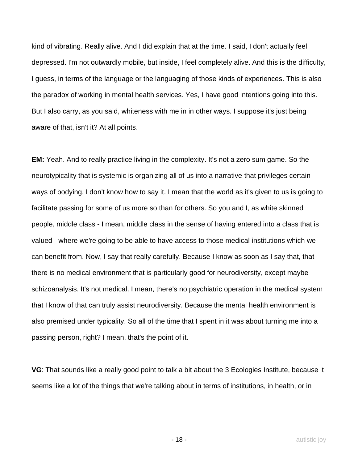kind of vibrating. Really alive. And I did explain that at the time. I said, I don't actually feel depressed. I'm not outwardly mobile, but inside, I feel completely alive. And this is the difficulty, I guess, in terms of the language or the languaging of those kinds of experiences. This is also the paradox of working in mental health services. Yes, I have good intentions going into this. But I also carry, as you said, whiteness with me in in other ways. I suppose it's just being aware of that, isn't it? At all points.

**EM:** Yeah. And to really practice living in the complexity. It's not a zero sum game. So the neurotypicality that is systemic is organizing all of us into a narrative that privileges certain ways of bodying. I don't know how to say it. I mean that the world as it's given to us is going to facilitate passing for some of us more so than for others. So you and I, as white skinned people, middle class - I mean, middle class in the sense of having entered into a class that is valued - where we're going to be able to have access to those medical institutions which we can benefit from. Now, I say that really carefully. Because I know as soon as I say that, that there is no medical environment that is particularly good for neurodiversity, except maybe schizoanalysis. It's not medical. I mean, there's no psychiatric operation in the medical system that I know of that can truly assist neurodiversity. Because the mental health environment is also premised under typicality. So all of the time that I spent in it was about turning me into a passing person, right? I mean, that's the point of it.

**VG**: That sounds like a really good point to talk a bit about the 3 Ecologies Institute, because it seems like a lot of the things that we're talking about in terms of institutions, in health, or in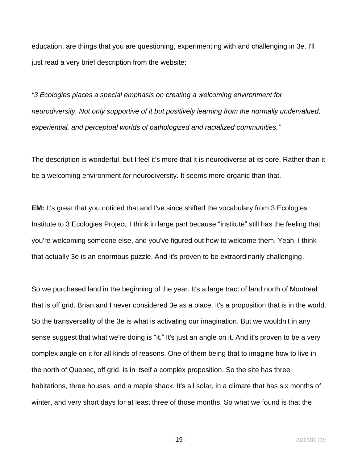education, are things that you are questioning, experimenting with and challenging in 3e. I'll just read a very brief description from the website:

*"3 Ecologies places a special emphasis on creating a welcoming environment for neurodiversity. Not only supportive of it but positively learning from the normally undervalued, experiential, and perceptual worlds of pathologized and racialized communities."*

The description is wonderful, but I feel it's more that it is neurodiverse at its core. Rather than it be a welcoming environment *for* neurodiversity. It seems more organic than that.

**EM:** It's great that you noticed that and I've since shifted the vocabulary from 3 Ecologies Institute to 3 Ecologies Project. I think in large part because "institute" still has the feeling that you're welcoming someone else, and you've figured out how to welcome them. Yeah. I think that actually 3e is an enormous puzzle. And it's proven to be extraordinarily challenging.

So we purchased land in the beginning of the year. It's a large tract of land north of Montreal that is off grid. Brian and I never considered 3e as a place. It's a proposition that is in the world. So the transversality of the 3e is what is activating our imagination. But we wouldn't in any sense suggest that what we're doing is "it." It's just an angle on it. And it's proven to be a very complex angle on it for all kinds of reasons. One of them being that to imagine how to live in the north of Quebec, off grid, is in itself a complex proposition. So the site has three habitations, three houses, and a maple shack. It's all solar, in a climate that has six months of winter, and very short days for at least three of those months. So what we found is that the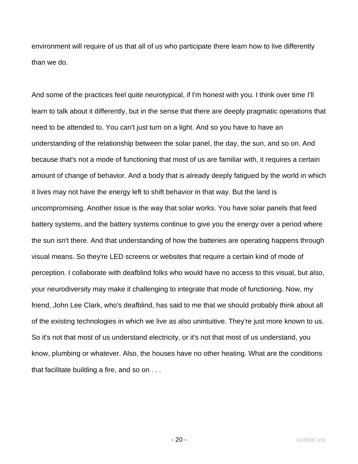environment will require of us that all of us who participate there learn how to live differently than we do.

And some of the practices feel quite neurotypical, if I'm honest with you. I think over time I'll learn to talk about it differently, but in the sense that there are deeply pragmatic operations that need to be attended to. You can't just turn on a light. And so you have to have an understanding of the relationship between the solar panel, the day, the sun, and so on. And because that's not a mode of functioning that most of us are familiar with, it requires a certain amount of change of behavior. And a body that is already deeply fatigued by the world in which it lives may not have the energy left to shift behavior in that way. But the land is uncompromising. Another issue is the way that solar works. You have solar panels that feed battery systems, and the battery systems continue to give you the energy over a period where the sun isn't there. And that understanding of how the batteries are operating happens through visual means. So they're LED screens or websites that require a certain kind of mode of perception. I collaborate with deafblind folks who would have no access to this visual, but also, your neurodiversity may make it challenging to integrate that mode of functioning. Now, my friend, John Lee Clark, who's deafblind, has said to me that we should probably think about all of the existing technologies in which we live as also unintuitive. They're just more known to us. So it's not that most of us understand electricity, or it's not that most of us understand, you know, plumbing or whatever. Also, the houses have no other heating. What are the conditions that facilitate building a fire, and so on . . .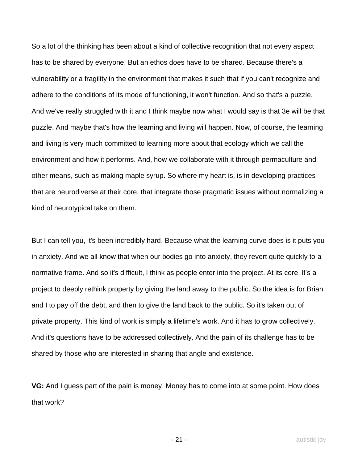So a lot of the thinking has been about a kind of collective recognition that not every aspect has to be shared by everyone. But an ethos does have to be shared. Because there's a vulnerability or a fragility in the environment that makes it such that if you can't recognize and adhere to the conditions of its mode of functioning, it won't function. And so that's a puzzle. And we've really struggled with it and I think maybe now what I would say is that 3e will be that puzzle. And maybe that's how the learning and living will happen. Now, of course, the learning and living is very much committed to learning more about that ecology which we call the environment and how it performs. And, how we collaborate with it through permaculture and other means, such as making maple syrup. So where my heart is, is in developing practices that are neurodiverse at their core, that integrate those pragmatic issues without normalizing a kind of neurotypical take on them.

But I can tell you, it's been incredibly hard. Because what the learning curve does is it puts you in anxiety. And we all know that when our bodies go into anxiety, they revert quite quickly to a normative frame. And so it's difficult, I think as people enter into the project. At its core, it's a project to deeply rethink property by giving the land away to the public. So the idea is for Brian and I to pay off the debt, and then to give the land back to the public. So it's taken out of private property. This kind of work is simply a lifetime's work. And it has to grow collectively. And it's questions have to be addressed collectively. And the pain of its challenge has to be shared by those who are interested in sharing that angle and existence.

**VG:** And I guess part of the pain is money. Money has to come into at some point. How does that work?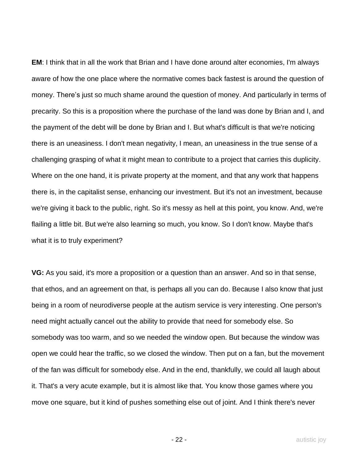**EM**: I think that in all the work that Brian and I have done around alter economies, I'm always aware of how the one place where the normative comes back fastest is around the question of money. There's just so much shame around the question of money. And particularly in terms of precarity. So this is a proposition where the purchase of the land was done by Brian and I, and the payment of the debt will be done by Brian and I. But what's difficult is that we're noticing there is an uneasiness. I don't mean negativity, I mean, an uneasiness in the true sense of a challenging grasping of what it might mean to contribute to a project that carries this duplicity. Where on the one hand, it is private property at the moment, and that any work that happens there is, in the capitalist sense, enhancing our investment. But it's not an investment, because we're giving it back to the public, right. So it's messy as hell at this point, you know. And, we're flailing a little bit. But we're also learning so much, you know. So I don't know. Maybe that's what it is to truly experiment?

**VG:** As you said, it's more a proposition or a question than an answer. And so in that sense, that ethos, and an agreement on that, is perhaps all you can do. Because I also know that just being in a room of neurodiverse people at the autism service is very interesting. One person's need might actually cancel out the ability to provide that need for somebody else. So somebody was too warm, and so we needed the window open. But because the window was open we could hear the traffic, so we closed the window. Then put on a fan, but the movement of the fan was difficult for somebody else. And in the end, thankfully, we could all laugh about it. That's a very acute example, but it is almost like that. You know those games where you move one square, but it kind of pushes something else out of joint. And I think there's never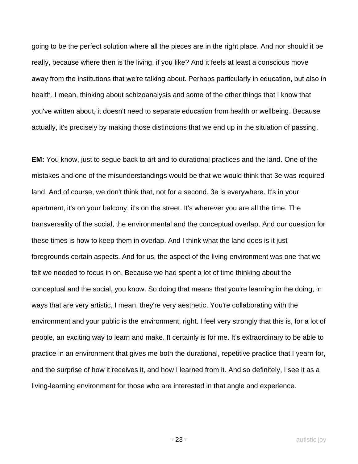going to be the perfect solution where all the pieces are in the right place. And nor should it be really, because where then is the living, if you like? And it feels at least a conscious move away from the institutions that we're talking about. Perhaps particularly in education, but also in health. I mean, thinking about schizoanalysis and some of the other things that I know that you've written about, it doesn't need to separate education from health or wellbeing. Because actually, it's precisely by making those distinctions that we end up in the situation of passing.

**EM:** You know, just to segue back to art and to durational practices and the land. One of the mistakes and one of the misunderstandings would be that we would think that 3e was required land. And of course, we don't think that, not for a second. 3e is everywhere. It's in your apartment, it's on your balcony, it's on the street. It's wherever you are all the time. The transversality of the social, the environmental and the conceptual overlap. And our question for these times is how to keep them in overlap. And I think what the land does is it just foregrounds certain aspects. And for us, the aspect of the living environment was one that we felt we needed to focus in on. Because we had spent a lot of time thinking about the conceptual and the social, you know. So doing that means that you're learning in the doing, in ways that are very artistic, I mean, they're very aesthetic. You're collaborating with the environment and your public is the environment, right. I feel very strongly that this is, for a lot of people, an exciting way to learn and make. It certainly is for me. It's extraordinary to be able to practice in an environment that gives me both the durational, repetitive practice that I yearn for, and the surprise of how it receives it, and how I learned from it. And so definitely, I see it as a living-learning environment for those who are interested in that angle and experience.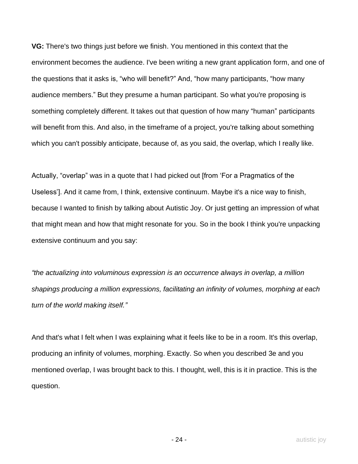**VG:** There's two things just before we finish. You mentioned in this context that the environment becomes the audience. I've been writing a new grant application form, and one of the questions that it asks is, "who will benefit?" And, "how many participants, "how many audience members." But they presume a human participant. So what you're proposing is something completely different. It takes out that question of how many "human" participants will benefit from this. And also, in the timeframe of a project, you're talking about something which you can't possibly anticipate, because of, as you said, the overlap, which I really like.

Actually, "overlap" was in a quote that I had picked out [from 'For a Pragmatics of the Useless']. And it came from, I think, extensive continuum. Maybe it's a nice way to finish, because I wanted to finish by talking about Autistic Joy. Or just getting an impression of what that might mean and how that might resonate for you. So in the book I think you're unpacking extensive continuum and you say:

*"the actualizing into voluminous expression is an occurrence always in overlap, a million shapings producing a million expressions, facilitating an infinity of volumes, morphing at each turn of the world making itself."*

And that's what I felt when I was explaining what it feels like to be in a room. It's this overlap, producing an infinity of volumes, morphing. Exactly. So when you described 3e and you mentioned overlap, I was brought back to this. I thought, well, this is it in practice. This is the question.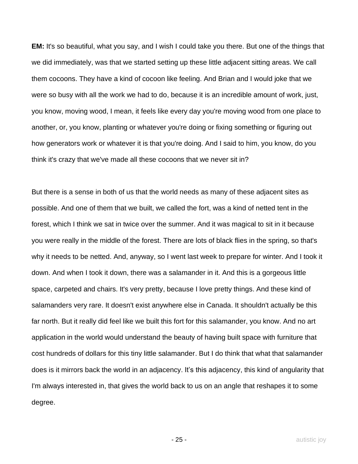**EM:** It's so beautiful, what you say, and I wish I could take you there. But one of the things that we did immediately, was that we started setting up these little adjacent sitting areas. We call them cocoons. They have a kind of cocoon like feeling. And Brian and I would joke that we were so busy with all the work we had to do, because it is an incredible amount of work, just, you know, moving wood, I mean, it feels like every day you're moving wood from one place to another, or, you know, planting or whatever you're doing or fixing something or figuring out how generators work or whatever it is that you're doing. And I said to him, you know, do you think it's crazy that we've made all these cocoons that we never sit in?

But there is a sense in both of us that the world needs as many of these adjacent sites as possible. And one of them that we built, we called the fort, was a kind of netted tent in the forest, which I think we sat in twice over the summer. And it was magical to sit in it because you were really in the middle of the forest. There are lots of black flies in the spring, so that's why it needs to be netted. And, anyway, so I went last week to prepare for winter. And I took it down. And when I took it down, there was a salamander in it. And this is a gorgeous little space, carpeted and chairs. It's very pretty, because I love pretty things. And these kind of salamanders very rare. It doesn't exist anywhere else in Canada. It shouldn't actually be this far north. But it really did feel like we built this fort for this salamander, you know. And no art application in the world would understand the beauty of having built space with furniture that cost hundreds of dollars for this tiny little salamander. But I do think that what that salamander does is it mirrors back the world in an adjacency. It's this adjacency, this kind of angularity that I'm always interested in, that gives the world back to us on an angle that reshapes it to some degree.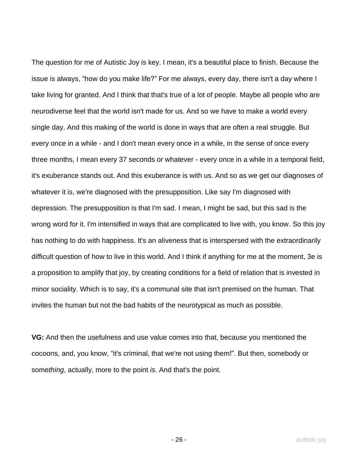The question for me of Autistic Joy is key. I mean, it's a beautiful place to finish. Because the issue is always, "how do you make life?" For me always, every day, there isn't a day where I take living for granted. And I think that that's true of a lot of people. Maybe all people who are neurodiverse feel that the world isn't made for us. And so we have to make a world every single day. And this making of the world is done in ways that are often a real struggle. But every once in a while - and I don't mean every once in a while, in the sense of once every three months, I mean every 37 seconds or whatever - every once in a while in a temporal field, it's exuberance stands out. And this exuberance is with us. And so as we get our diagnoses of whatever it is, we're diagnosed with the presupposition. Like say I'm diagnosed with depression. The presupposition is that I'm sad. I mean, I might be sad, but this sad is the wrong word for it. I'm intensified in ways that are complicated to live with, you know. So this joy has nothing to do with happiness. It's an aliveness that is interspersed with the extraordinarily difficult question of how to live in this world. And I think if anything for me at the moment, 3e is a proposition to amplify that joy, by creating conditions for a field of relation that is invested in minor sociality. Which is to say, it's a communal site that isn't premised on the human. That invites the human but not the bad habits of the neurotypical as much as possible.

**VG:** And then the usefulness and use value comes into that, because you mentioned the cocoons, and, you know, "it's criminal, that we're not using them!". But then, somebody or some*thing*, actually, more to the point *is*. And that's the point.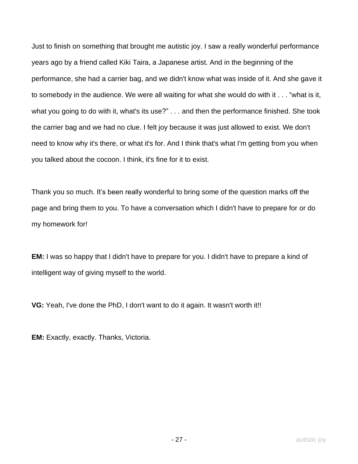Just to finish on something that brought me autistic joy. I saw a really wonderful performance years ago by a friend called Kiki Taira, a Japanese artist. And in the beginning of the performance, she had a carrier bag, and we didn't know what was inside of it. And she gave it to somebody in the audience. We were all waiting for what she would do with it . . . "what is it, what you going to do with it, what's its use?" . . . and then the performance finished. She took the carrier bag and we had no clue. I felt joy because it was just allowed to exist. We don't need to know why it's there, or what it's for. And I think that's what I'm getting from you when you talked about the cocoon. I think, it's fine for it to exist.

Thank you so much. It's been really wonderful to bring some of the question marks off the page and bring them to you. To have a conversation which I didn't have to prepare for or do my homework for!

**EM:** I was so happy that I didn't have to prepare for you. I didn't have to prepare a kind of intelligent way of giving myself to the world.

**VG:** Yeah, I've done the PhD, I don't want to do it again. It wasn't worth it!!

**EM:** Exactly, exactly. Thanks, Victoria.